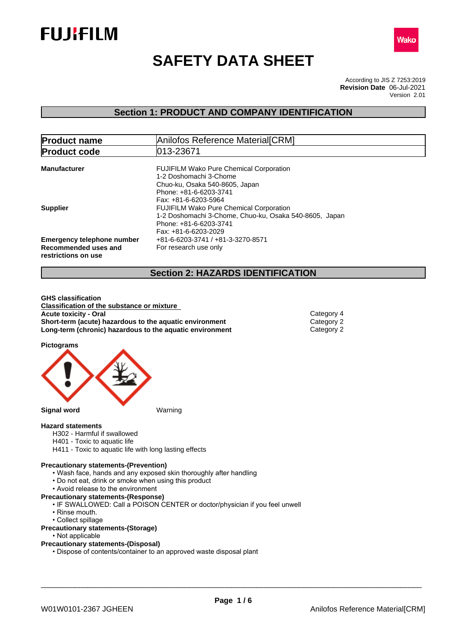



# **SAFETY DATA SHEET**

According to JIS Z 7253:2019 Version 2.01 **Revision Date** 06-Jul-2021

## **Section 1: PRODUCT AND COMPANY IDENTIFICATION**

| <b>Product name</b>                                                              | Anilofos Reference Material[CRM]                                                                                                                           |  |  |
|----------------------------------------------------------------------------------|------------------------------------------------------------------------------------------------------------------------------------------------------------|--|--|
| <b>Product code</b>                                                              | 013-23671                                                                                                                                                  |  |  |
| <b>Manufacturer</b>                                                              | <b>FUJIFILM Wako Pure Chemical Corporation</b><br>1-2 Doshomachi 3-Chome<br>Chuo-ku, Osaka 540-8605, Japan                                                 |  |  |
| <b>Supplier</b>                                                                  | Phone: +81-6-6203-3741<br>Fax: +81-6-6203-5964<br><b>FUJIFILM Wako Pure Chemical Corporation</b><br>1-2 Doshomachi 3-Chome, Chuo-ku, Osaka 540-8605, Japan |  |  |
| <b>Emergency telephone number</b><br>Recommended uses and<br>restrictions on use | Phone: +81-6-6203-3741<br>Fax: +81-6-6203-2029<br>+81-6-6203-3741 / +81-3-3270-8571<br>For research use only                                               |  |  |

## **Section 2: HAZARDS IDENTIFICATION**

**GHS classification Classification of the substance or mixture Acute toxicity - Oral** Category 4<br> **Short-term (acute) hazardous to the aquatic environment** Category 2 **Short-term (acute) hazardous to the aquatic environment** Category 2<br> **Long-term (chronic) hazardous to the aquatic environment** Category 2 **Long-term (chronic) hazardous to the aquatic environment** 

**Pictograms**



#### **Hazard statements**

- H302 Harmful if swallowed
- H401 Toxic to aquatic life
- H411 Toxic to aquatic life with long lasting effects

#### **Precautionary statements-(Prevention)**

- Wash face, hands and any exposed skin thoroughly after handling
- Do not eat, drink or smoke when using this product
- Avoid release to the environment
- **Precautionary statements-(Response)**
	- IF SWALLOWED: Call a POISON CENTER or doctor/physician if you feel unwell
	- Rinse mouth.
	- Collect spillage

#### **Precautionary statements-(Storage)**

• Not applicable

#### **Precautionary statements-(Disposal)**

• Dispose of contents/container to an approved waste disposal plant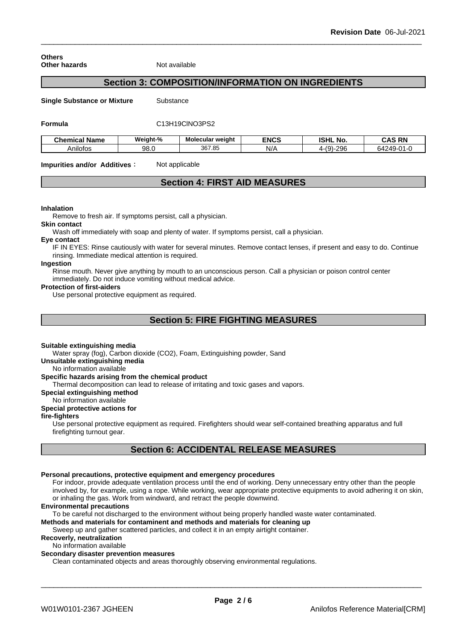| <b>Others</b>        |  |
|----------------------|--|
| <b>Other hazards</b> |  |

**Not available** 

## **Section 3: COMPOSITION/INFORMATION ON INGREDIENTS**

**Single Substance or Mixture** Substance

#### **Formula** C13H19ClNO3PS2

| <b>Chemical Name</b> | Weight-% | Molecular weight | <b>ENCS</b> | <b>ISHL</b><br>. No.            | <b>CAS RN</b>                      |
|----------------------|----------|------------------|-------------|---------------------------------|------------------------------------|
| \nilofos             | 98.0     | 367.85           | N/t         | 206<br>$\sqrt{2}$<br>∠ອບ<br>. . | $\sim$<br><b>54249-u</b><br>.<br>◡ |

**Impurities and/or Additives:** Not applicable

## **Section 4: FIRST AID MEASURES**

#### **Inhalation**

Remove to fresh air. If symptoms persist, call a physician.

#### **Skin contact**

Wash off immediately with soap and plenty of water. If symptoms persist, call a physician.

#### **Eye contact**

IF IN EYES: Rinse cautiously with water for several minutes. Remove contact lenses, if present and easy to do. Continue rinsing. Immediate medical attention is required.

### **Ingestion**

Rinse mouth. Never give anything by mouth to an unconscious person. Call a physician or poison control center immediately. Do not induce vomiting without medical advice.

#### **Protection of first-aiders**

Use personal protective equipment as required.

## **Section 5: FIRE FIGHTING MEASURES**

#### **Suitable extinguishing media**

Water spray (fog), Carbon dioxide (CO2), Foam, Extinguishing powder, Sand

#### **Unsuitable extinguishing media**

No information available

### **Specific hazards arising from the chemical product**

Thermal decomposition can lead to release of irritating and toxic gases and vapors.

#### **Special extinguishing method**

No information available

### **Special protective actions for**

#### **fire-fighters**

Use personal protective equipment as required.Firefighters should wear self-contained breathing apparatus and full firefighting turnout gear.

## **Section 6: ACCIDENTAL RELEASE MEASURES**

#### **Personal precautions, protective equipment and emergency procedures**

For indoor, provide adequate ventilation process until the end of working. Deny unnecessary entry other than the people involved by, for example, using a rope. While working, wear appropriate protective equipments to avoid adhering it on skin, or inhaling the gas. Work from windward, and retract the people downwind.

#### **Environmental precautions**

To be careful not discharged to the environment without being properly handled waste water contaminated.

## **Methods and materials for contaminent and methods and materials for cleaning up**

Sweep up and gather scattered particles, and collect it in an empty airtight container.

## **Recoverly, neutralization**

No information available

#### **Secondary disaster prevention measures**

Clean contaminated objects and areas thoroughly observing environmental regulations.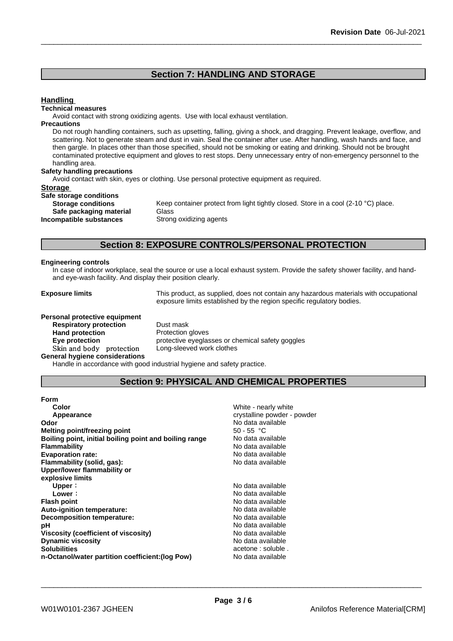## **Section 7: HANDLING AND STORAGE**

#### **Handling**

#### **Technical measures**

Avoid contact with strong oxidizing agents. Use with local exhaust ventilation.

#### **Precautions**

Do not rough handling containers, such as upsetting, falling, giving a shock, and dragging. Prevent leakage, overflow, and scattering. Not to generate steam and dust in vain. Seal the container after use. After handling, wash hands and face, and then gargle. In places other than those specified, should not be smoking or eating and drinking. Should not be brought contaminated protective equipment and gloves to rest stops. Deny unnecessary entry of non-emergency personnel to the handling area.

#### **Safety handling precautions**

Avoid contact with skin, eyes or clothing. Use personal protective equipment as required.

#### **Storage**

| Safe storage conditions   |             |
|---------------------------|-------------|
| <b>Storage conditions</b> | Keep conta  |
| Safe packaging material   | Glass       |
| Incompatible substances   | Strong oxid |

Keep container protect from light tightly closed. Store in a cool (2-10 °C) place. **Safe packaging material** Glass **Strong oxidizing agents** 

## **Section 8: EXPOSURE CONTROLS/PERSONAL PROTECTION**

#### **Engineering controls**

In case of indoor workplace, seal the source or use a local exhaust system. Provide the safety shower facility, and handand eye-wash facility. And display their position clearly.

**Exposure limits** This product, as supplied, does not contain any hazardous materials with occupational exposure limits established by the region specific regulatory bodies.

#### **Personal protective equipment**

**Respiratory protection** Dust mask **Hand protection**<br> **Eye protection**<br> **Eye protection**<br> **Exercise Protective eveglas** Skin and body protection **General hygiene considerations**

protective eyeglasses or chemical safety goggles<br>Long-sleeved work clothes

Handle in accordance with good industrial hygiene and safety practice.

## **Section 9: PHYSICAL AND CHEMICAL PROPERTIES**

| <b>Form</b> |  |  |
|-------------|--|--|
| Color       |  |  |

| White - nearly white        |
|-----------------------------|
| crystalline powder - powder |
| No data available           |
| $50 - 55$ °C                |
| No data available           |
| No data available           |
| No data available           |
| No data available           |
|                             |
|                             |
| No data available           |
| No data available           |
| No data available           |
| No data available           |
| No data available           |
| No data available           |
| No data available           |
| No data available           |
| acetone : soluble.          |
| No data available           |
|                             |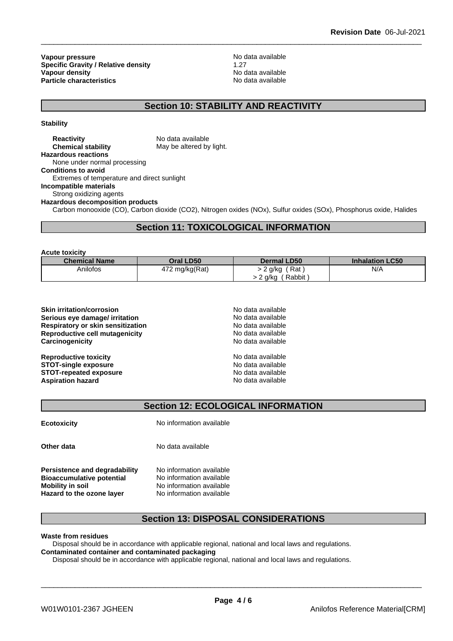**Vapour pressure**<br> **Specific Gravity / Relative density**<br> **Specific Gravity / Relative density**<br> **No data available Specific Gravity / Relative density** 1.27<br> **Vapour density** 1.27 **Vapour density Particle characteristics** No data available

## **Section 10: STABILITY AND REACTIVITY**

**Stability**

**Reactivity** No data available **Chemical stability** May be altered by light. **Hazardous reactions** None under normal processing **Conditions to avoid** Extremes of temperature and direct sunlight **Incompatible materials** Strong oxidizing agents **Hazardous decomposition products** Carbon monooxide (CO), Carbon dioxide (CO2), Nitrogen oxides (NOx), Sulfur oxides (SOx), Phosphorus oxide, Halides

## **Section 11: TOXICOLOGICAL INFORMATION**

**Acute toxicity**

| <b>Chemical Name</b> | Oral LD50      | <b>Dermal LD50</b> | <b>Inhalation LC50</b> |
|----------------------|----------------|--------------------|------------------------|
| Anilofos             | 472 mg/kg(Rat) | Rat<br>> 2 g/kg    | N/A                    |
|                      |                | Rabbit<br>a/ka     |                        |

| No data available |
|-------------------|
| No data available |
| No data available |
| No data available |
| No data available |
| No data available |
| No data available |
| No data available |
| No data available |
|                   |

## **Section 12: ECOLOGICAL INFORMATION**

**Ecotoxicity** No information available

**Other data** No data available

**Persistence and degradability** No information available<br>**Bioaccumulative potential** No information available **Bioaccumulative potential Mobility** in soil No information available

**Hazard to the ozone layer** No information available

## **Section 13: DISPOSAL CONSIDERATIONS**

**Waste from residues**

Disposal should be in accordance with applicable regional, national and local laws and regulations. **Contaminated container and contaminated packaging**

Disposal should be in accordance with applicable regional, national and local laws and regulations.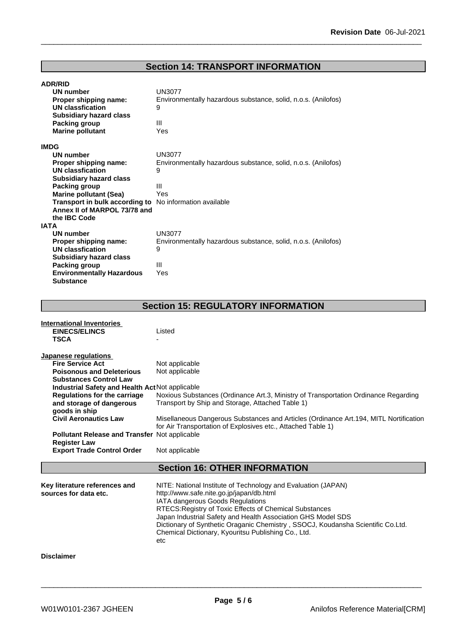## **Section 14: TRANSPORT INFORMATION**

| <b>ADR/RID</b><br>UN number<br>Proper shipping name:<br><b>UN classfication</b><br><b>Subsidiary hazard class</b><br>Packing group<br><b>Marine pollutant</b> | <b>UN3077</b><br>Environmentally hazardous substance, solid, n.o.s. (Anilofos)<br>9<br>Ш<br>Yes |
|---------------------------------------------------------------------------------------------------------------------------------------------------------------|-------------------------------------------------------------------------------------------------|
| <b>IMDG</b>                                                                                                                                                   |                                                                                                 |
| UN number                                                                                                                                                     | UN3077                                                                                          |
| Proper shipping name:                                                                                                                                         | Environmentally hazardous substance, solid, n.o.s. (Anilofos)                                   |
| UN classfication                                                                                                                                              | 9                                                                                               |
| <b>Subsidiary hazard class</b>                                                                                                                                |                                                                                                 |
| Packing group                                                                                                                                                 | Ш                                                                                               |
| <b>Marine pollutant (Sea)</b>                                                                                                                                 | Yes                                                                                             |
| Transport in bulk according to                                                                                                                                | No information available                                                                        |
| Annex II of MARPOL 73/78 and                                                                                                                                  |                                                                                                 |
| the IBC Code                                                                                                                                                  |                                                                                                 |
| <b>IATA</b>                                                                                                                                                   |                                                                                                 |
| UN number                                                                                                                                                     | <b>UN3077</b>                                                                                   |
| Proper shipping name:                                                                                                                                         | Environmentally hazardous substance, solid, n.o.s. (Anilofos)                                   |
| UN classfication                                                                                                                                              | 9                                                                                               |
| <b>Subsidiary hazard class</b>                                                                                                                                |                                                                                                 |
| Packing group                                                                                                                                                 | Ш                                                                                               |
| <b>Environmentally Hazardous</b>                                                                                                                              | Yes                                                                                             |
| <b>Substance</b>                                                                                                                                              |                                                                                                 |

## **Section 15: REGULATORY INFORMATION**

| <b>International Inventories</b><br><b>EINECS/ELINCS</b><br><b>TSCA</b>                                                                                                                                                                                                                                                                                                                                         | Listed                                                                                                                                                                                                                                                                                                                                                                                                                    |
|-----------------------------------------------------------------------------------------------------------------------------------------------------------------------------------------------------------------------------------------------------------------------------------------------------------------------------------------------------------------------------------------------------------------|---------------------------------------------------------------------------------------------------------------------------------------------------------------------------------------------------------------------------------------------------------------------------------------------------------------------------------------------------------------------------------------------------------------------------|
| Japanese regulations<br><b>Fire Service Act</b><br><b>Poisonous and Deleterious</b><br><b>Substances Control Law</b><br>Industrial Safety and Health Act Not applicable<br><b>Regulations for the carriage</b><br>and storage of dangerous<br>goods in ship<br><b>Civil Aeronautics Law</b><br><b>Pollutant Release and Transfer Not applicable</b><br><b>Register Law</b><br><b>Export Trade Control Order</b> | Not applicable<br>Not applicable<br>Noxious Substances (Ordinance Art.3, Ministry of Transportation Ordinance Regarding<br>Transport by Ship and Storage, Attached Table 1)<br>Misellaneous Dangerous Substances and Articles (Ordinance Art.194, MITL Nortification<br>for Air Transportation of Explosives etc., Attached Table 1)<br>Not applicable                                                                    |
|                                                                                                                                                                                                                                                                                                                                                                                                                 | <b>Section 16: OTHER INFORMATION</b>                                                                                                                                                                                                                                                                                                                                                                                      |
| Key literature references and<br>sources for data etc.                                                                                                                                                                                                                                                                                                                                                          | NITE: National Institute of Technology and Evaluation (JAPAN)<br>http://www.safe.nite.go.jp/japan/db.html<br>IATA dangerous Goods Regulations<br>RTECS: Registry of Toxic Effects of Chemical Substances<br>Japan Industrial Safety and Health Association GHS Model SDS<br>Dictionary of Synthetic Oraganic Chemistry, SSOCJ, Koudansha Scientific Co.Ltd.<br>Chemical Dictionary, Kyouritsu Publishing Co., Ltd.<br>etc |
| <b>Disclaimer</b>                                                                                                                                                                                                                                                                                                                                                                                               |                                                                                                                                                                                                                                                                                                                                                                                                                           |
|                                                                                                                                                                                                                                                                                                                                                                                                                 |                                                                                                                                                                                                                                                                                                                                                                                                                           |